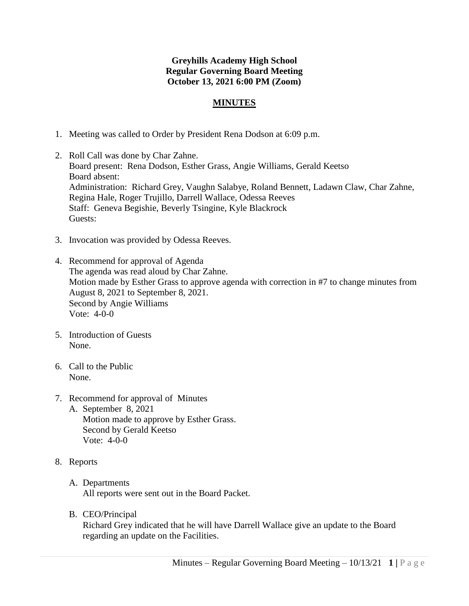## **Greyhills Academy High School Regular Governing Board Meeting October 13, 2021 6:00 PM (Zoom)**

## **MINUTES**

- 1. Meeting was called to Order by President Rena Dodson at 6:09 p.m.
- 2. Roll Call was done by Char Zahne. Board present: Rena Dodson, Esther Grass, Angie Williams, Gerald Keetso Board absent: Administration: Richard Grey, Vaughn Salabye, Roland Bennett, Ladawn Claw, Char Zahne, Regina Hale, Roger Trujillo, Darrell Wallace, Odessa Reeves Staff: Geneva Begishie, Beverly Tsingine, Kyle Blackrock Guests:
- 3. Invocation was provided by Odessa Reeves.
- 4. Recommend for approval of Agenda The agenda was read aloud by Char Zahne. Motion made by Esther Grass to approve agenda with correction in #7 to change minutes from August 8, 2021 to September 8, 2021. Second by Angie Williams Vote: 4-0-0
- 5. Introduction of Guests None.
- 6. Call to the Public None.
- 7. Recommend for approval of Minutes
	- A. September 8, 2021 Motion made to approve by Esther Grass. Second by Gerald Keetso Vote: 4-0-0
- 8. Reports
	- A. Departments All reports were sent out in the Board Packet.
	- B. CEO/Principal

Richard Grey indicated that he will have Darrell Wallace give an update to the Board regarding an update on the Facilities.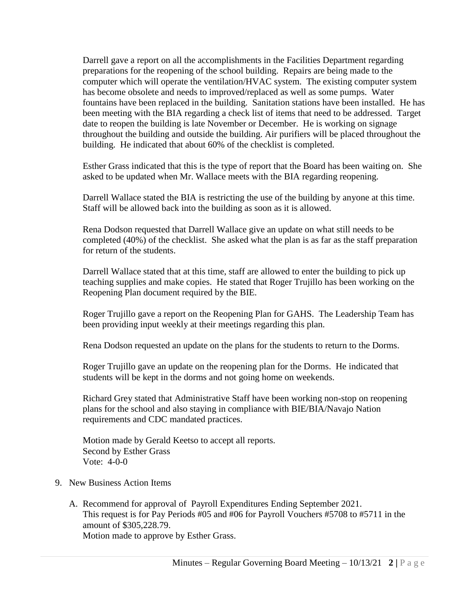Darrell gave a report on all the accomplishments in the Facilities Department regarding preparations for the reopening of the school building. Repairs are being made to the computer which will operate the ventilation/HVAC system. The existing computer system has become obsolete and needs to improved/replaced as well as some pumps. Water fountains have been replaced in the building. Sanitation stations have been installed. He has been meeting with the BIA regarding a check list of items that need to be addressed. Target date to reopen the building is late November or December. He is working on signage throughout the building and outside the building. Air purifiers will be placed throughout the building. He indicated that about 60% of the checklist is completed.

Esther Grass indicated that this is the type of report that the Board has been waiting on. She asked to be updated when Mr. Wallace meets with the BIA regarding reopening.

Darrell Wallace stated the BIA is restricting the use of the building by anyone at this time. Staff will be allowed back into the building as soon as it is allowed.

Rena Dodson requested that Darrell Wallace give an update on what still needs to be completed (40%) of the checklist. She asked what the plan is as far as the staff preparation for return of the students.

Darrell Wallace stated that at this time, staff are allowed to enter the building to pick up teaching supplies and make copies. He stated that Roger Trujillo has been working on the Reopening Plan document required by the BIE.

Roger Trujillo gave a report on the Reopening Plan for GAHS. The Leadership Team has been providing input weekly at their meetings regarding this plan.

Rena Dodson requested an update on the plans for the students to return to the Dorms.

Roger Trujillo gave an update on the reopening plan for the Dorms. He indicated that students will be kept in the dorms and not going home on weekends.

Richard Grey stated that Administrative Staff have been working non-stop on reopening plans for the school and also staying in compliance with BIE/BIA/Navajo Nation requirements and CDC mandated practices.

Motion made by Gerald Keetso to accept all reports. Second by Esther Grass Vote: 4-0-0

- 9. New Business Action Items
	- A. Recommend for approval of Payroll Expenditures Ending September 2021. This request is for Pay Periods #05 and #06 for Payroll Vouchers #5708 to #5711 in the amount of \$305,228.79. Motion made to approve by Esther Grass.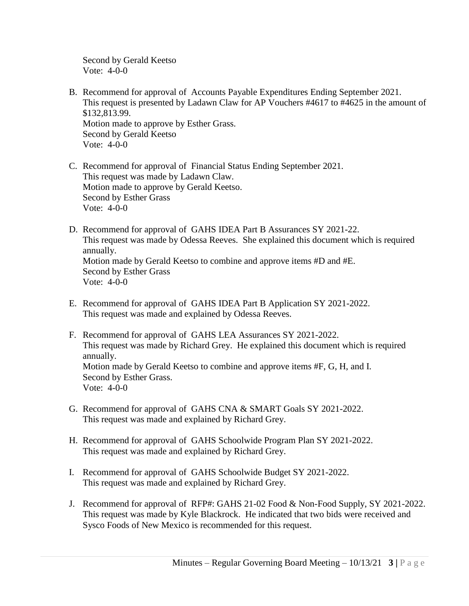Second by Gerald Keetso Vote: 4-0-0

- B. Recommend for approval of Accounts Payable Expenditures Ending September 2021. This request is presented by Ladawn Claw for AP Vouchers #4617 to #4625 in the amount of \$132,813.99. Motion made to approve by Esther Grass. Second by Gerald Keetso Vote: 4-0-0
- C. Recommend for approval of Financial Status Ending September 2021. This request was made by Ladawn Claw. Motion made to approve by Gerald Keetso. Second by Esther Grass Vote: 4-0-0
- D. Recommend for approval of GAHS IDEA Part B Assurances SY 2021-22. This request was made by Odessa Reeves. She explained this document which is required annually. Motion made by Gerald Keetso to combine and approve items #D and #E. Second by Esther Grass Vote: 4-0-0
- E. Recommend for approval of GAHS IDEA Part B Application SY 2021-2022. This request was made and explained by Odessa Reeves.
- F. Recommend for approval of GAHS LEA Assurances SY 2021-2022. This request was made by Richard Grey. He explained this document which is required annually. Motion made by Gerald Keetso to combine and approve items #F, G, H, and I. Second by Esther Grass. Vote: 4-0-0
- G. Recommend for approval of GAHS CNA & SMART Goals SY 2021-2022. This request was made and explained by Richard Grey.
- H. Recommend for approval of GAHS Schoolwide Program Plan SY 2021-2022. This request was made and explained by Richard Grey.
- I. Recommend for approval of GAHS Schoolwide Budget SY 2021-2022. This request was made and explained by Richard Grey.
- J. Recommend for approval of RFP#: GAHS 21-02 Food & Non-Food Supply, SY 2021-2022. This request was made by Kyle Blackrock. He indicated that two bids were received and Sysco Foods of New Mexico is recommended for this request.